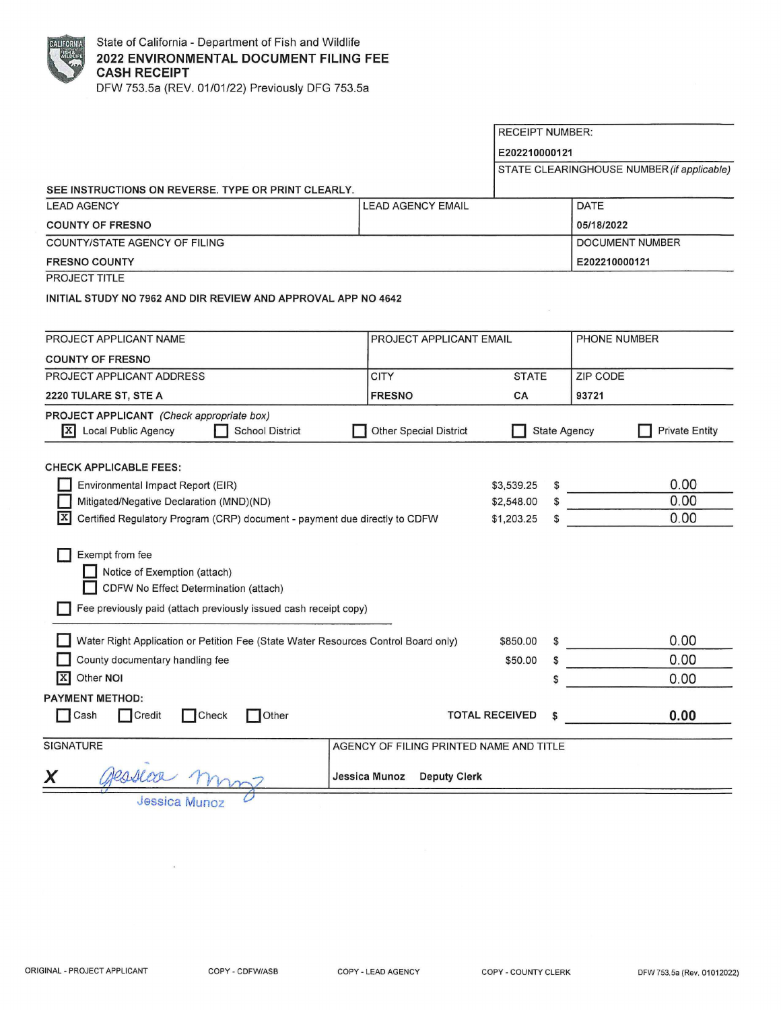

|                                                                                                              |                          | <b>RECEIPT NUMBER:</b>      |                                            |
|--------------------------------------------------------------------------------------------------------------|--------------------------|-----------------------------|--------------------------------------------|
|                                                                                                              |                          | E202210000121               |                                            |
|                                                                                                              |                          |                             | STATE CLEARINGHOUSE NUMBER (if applicable) |
| SEE INSTRUCTIONS ON REVERSE. TYPE OR PRINT CLEARLY.                                                          |                          |                             |                                            |
| <b>LEAD AGENCY</b>                                                                                           | <b>LEAD AGENCY EMAIL</b> |                             | <b>DATE</b>                                |
| <b>COUNTY OF FRESNO</b>                                                                                      |                          |                             | 05/18/2022                                 |
| COUNTY/STATE AGENCY OF FILING                                                                                |                          |                             | <b>DOCUMENT NUMBER</b>                     |
| <b>FRESNO COUNTY</b>                                                                                         |                          |                             | E202210000121                              |
| <b>PROJECT TITLE</b>                                                                                         |                          |                             |                                            |
| INITIAL STUDY NO 7962 AND DIR REVIEW AND APPROVAL APP NO 4642                                                |                          |                             |                                            |
|                                                                                                              |                          |                             |                                            |
| PROJECT APPLICANT NAME                                                                                       | PROJECT APPLICANT EMAIL  |                             | PHONE NUMBER                               |
| <b>COUNTY OF FRESNO</b>                                                                                      |                          |                             |                                            |
| PROJECT APPLICANT ADDRESS                                                                                    | <b>CITY</b>              | <b>STATE</b>                | <b>ZIP CODE</b>                            |
| 2220 TULARE ST, STE A                                                                                        | <b>FRESNO</b>            | CA                          | 93721                                      |
| PROJECT APPLICANT (Check appropriate box)                                                                    |                          |                             |                                            |
| IxI<br>Local Public Agency<br><b>School District</b><br><b>Other Special District</b><br><b>State Agency</b> |                          |                             | <b>Private Entity</b>                      |
|                                                                                                              |                          |                             |                                            |
| <b>CHECK APPLICABLE FEES:</b>                                                                                |                          |                             |                                            |
| Environmental Impact Report (EIR)                                                                            |                          | \$3,539.25                  | 0.00                                       |
| Mitigated/Negative Declaration (MND)(ND)<br>\$2,548.00                                                       |                          |                             | 0.00                                       |
| Certified Regulatory Program (CRP) document - payment due directly to CDFW<br>\$1,203.25<br>S                |                          | 0.00                        |                                            |
|                                                                                                              |                          |                             |                                            |
| Exempt from fee                                                                                              |                          |                             |                                            |
| Notice of Exemption (attach)                                                                                 |                          |                             |                                            |
| CDFW No Effect Determination (attach)                                                                        |                          |                             |                                            |
| Fee previously paid (attach previously issued cash receipt copy)                                             |                          |                             |                                            |
| Water Right Application or Petition Fee (State Water Resources Control Board only)                           |                          | \$850.00<br>S               | 0.00                                       |
| County documentary handling fee                                                                              |                          | \$50.00<br>S                | 0.00                                       |
| Other NOI<br>ΙX                                                                                              |                          | \$                          | 0.00                                       |
|                                                                                                              |                          |                             |                                            |
| <b>PAYMENT METHOD:</b><br>Cash<br>Credit<br>Check<br>1Other                                                  |                          | <b>TOTAL RECEIVED</b><br>\$ | 0.00                                       |
|                                                                                                              |                          |                             |                                            |
| <b>SIGNATURE</b><br>AGENCY OF FILING PRINTED NAME AND TITLE                                                  |                          |                             |                                            |
|                                                                                                              |                          |                             |                                            |
| leasear mm<br>X<br>Jessica Munoz<br><b>Deputy Clerk</b>                                                      |                          |                             |                                            |

Jessica Munoz 0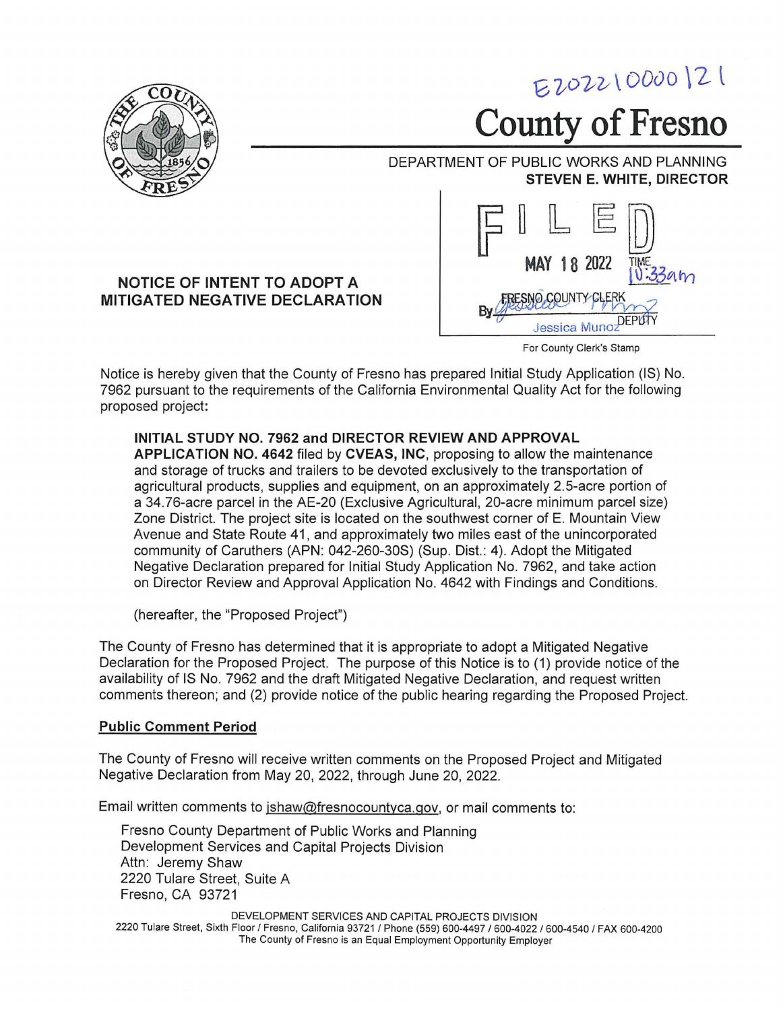

For County Clerk's Stamp

Notice is hereby given that the County of Fresno has prepared Initial Study Application (IS) No. 7962 pursuant to the requirements of the California Environmental Quality Act for the following proposed project:

## **INITIAL STUDY NO. 7962 and DIRECTOR REVIEW AND APPROVAL**

**APPLICATION NO. 4642** filed by **CVEAS, INC,** proposing to allow the maintenance and storage of trucks and trailers to be devoted exclusively to the transportation of agricultural products, supplies and equipment, on an approximately 2.5-acre portion of a 34.76-acre parcel in the AE-20 (Exclusive Agricultural, 20-acre minimum parcel size) Zone District. The project site is located on the southwest corner of E. Mountain View Avenue and State Route 41, and approximately two miles east of the unincorporated community of Caruthers (APN: 042-260-30S) (Sup. Dist.: 4). Adopt the Mitigated Negative Declaration prepared for Initial Study Application No. 7962, and take action on Director Review and Approval Application No. 4642 with Findings and Conditions.

(hereafter, the "Proposed Project")

The County of Fresno has determined that it is appropriate to adopt a Mitigated Negative Declaration for the Proposed Project. The purpose of this Notice is to (1) provide notice of the availability of IS No. 7962 and the draft Mitigated Negative Declaration, and request written comments thereon; and (2) provide notice of the public hearing regarding the Proposed Project.

## **Public Comment Period**

The County of Fresno will receive written comments on the Proposed Project and Mitigated Negative Declaration from May 20, 2022, through June 20, 2022.

Email written comments to jshaw@fresnocountyca.gov, or mail comments to:

Fresno County Department of Public Works and Planning Development Services and Capital Projects Division Attn: Jeremy Shaw 2220 Tulare Street, Suite A Fresno, CA 93721

DEVELOPMENT SERVICES AND CAPITAL PROJECTS DIVISION 2220 Tulare Street, Sixth Floor/ Fresno, California 93721 / Phone (559) 600-4497 I 600-4022 I 600-4540 / FAX 600-4200 The County of Fresno is an Equal Employment Opportunity Employer